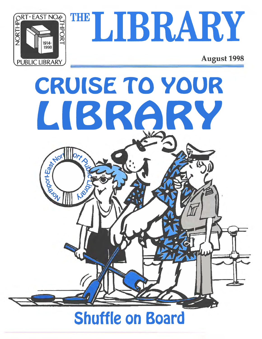

THE LIBRARY

**August 1998** 



# **Shuffle on Board**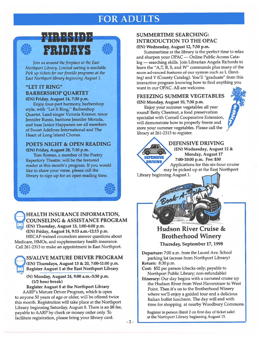# FOR ADULTS



**AV2**<br>205

**SIS**<br>205



Join us around the fireplace at the East Northport Library. Limited seating is available. Pick up tickets for our fireside programs at the East Northport library beginning August 2.

#### "LET IT RING" BARBERSHOP QUARTET (EN) Friday, August 14, 7:30 p.m.

Enjoy four-part harmony, barbershop style, with "Let It Ring," Barbershop Quartet. Lead singer Victoria Kramer, tenor Jennifer Russo, baritone Jennifer Mottola, and bass Janice Happanen are all members of Sweet Adelines International and The Heart of Long Island Chorus.

#### POETS NIGHT & OPEN READING

(EN) Friday, August 28, 7:30 p.m. Tom Romeo, <sup>a</sup> member of the Poetry Repertory Theatre, will be the featured reader at this month's program. If you would like to share your verse, please call the library to sign up for an open reading time.



HEALTH INSURANCE INFORMATION, COUNSELING & ASSISTANCE PROGRAM (EN) Thursday, August 13, 1:00-4:00 p.m.

(EN) Friday, August 14, 9:15 a.m.-12:15 p.m. HIICAP-trained counselors answer questions about Medicare, HMOs, and supplementary health insurance. Call 261-2313 to make an appointment in East Northport.

55/ALIVE MATURE DRIVER PROGRAM (EN) Thursdays, August 13 & 20, 7:00-11:00 p.m. Register August <sup>1</sup> at the East Northport Library

(N) Monday, August 24, 9:00 a.m.-3:30 p.m. (1/2 hour break)

Register August 8 at the Northport Library AARP's Mature Driver Program, which is open to anyone 50 years of age or older, will be offered twice this month. Registration will take <sup>p</sup>lace at the Northport Library beginning Saturday, August 8. There is an \$8 fee, payable to AARP by check or money order only. To facilitate registration, <sup>p</sup>lease bring your library card.

## SUMMERTIME SEARCHING: INTRODUCTION TO THE OPAC

(EN) Wednesday, August 12, 7:30 p.m. Summertime at the library is the perfect time to relax and sharpen your OPAC — Online Public Access Cata log — searching skills. Join Librarian Angela Richards to learn the "A,T, B, 5, and W" commands plus many of the more advanced features of our system such as <sup>L</sup> (limit ing) and <sup>Y</sup> (County Catalog). You'll "graduate" from this interactive program knowing how to find anything you want in our OPAC. All are welcome.

FREEZING SUMMER VEGETABLES (EN) Monday, August 10, 7:30 p.m.

Enjoy your summer vegetables all year round! Betty Chestnut, <sup>a</sup> food preservation specialist with Cornell Cooperative Extension, will demonstrate how to properly freeze and store your summer vegetables. Please call the library at 261-2313 to register.





DEFENSIV **DRIVING** 

DEFENSIVE DRIVING (EN) Wednesday, August 12 & Monday, August 17 7:00-10:00 p.m. Fee: \$30 Applications for this six-hour course may be <sup>p</sup>icked up at the East Northport

Library beginning August 1.

# Hudson River Cruise & Brotherhood Winery

Thursday, September 17, 1998

Departure: 7:00 a.m. from the Laurel Ave. School parking lot (across from Northport Library) Return: 8:30 p.m.

Cost: \$52 per person (checks only; payable to Northport Public Library; non-refundable)

Itinerary: Our day begins with <sup>a</sup> narrated cruise up the Hudson River from West Haverstraw to West Point. Then it's on to the Brotherhood Winery where we'll enjoy <sup>a</sup> guided tour and <sup>a</sup> delicious Italian buffet luncheon. The day will end with time for shopping at nearby Woodbury Commons.

Register in person (limit <sup>2</sup> on first day of ticket sale) at the Northport Library beginning August 15.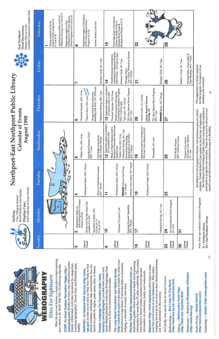| Gallery: | "City, Village & Hamlet" | Mixed Media by Alan Epstein | Display Case: | Doll Collection of Grace Hanley |
|----------|--------------------------|-----------------------------|---------------|---------------------------------|
|          |                          |                             |               |                                 |

**OCHE** 

# Northport-East Northport Public Library **Calendar of Events**





Larkfield Community Garden Club Marilyn DeLuca of the **Floral Decorations:** East Northport

| Saturday      | Defensive Driving on 8/12 & 8/17<br>Applications available at EN for<br>Driver Program on 8/13 & 8/20<br>Registration begins at East<br>Northport for 55/Alive Mature<br>Tickets available at EN for<br>Fireside Friday programs on<br>8/14 & 8/24 | œ                                                                            | Registration begins at Northport<br>for 55/Alive Mature Driver<br>Program on 8/24                                      | Summer Reading Club ends                                         | $\frac{5}{1}$                                                               | Ticket sales begin at Northport<br>Brotherhood Winery on 9/17<br>Library for Book-A-Trip to<br>Hudson River Cruise &               |                                                                                                       | 22            |                                                                          |                                                                            | 29                         |                                                                           |                                          |                                                                 |
|---------------|----------------------------------------------------------------------------------------------------------------------------------------------------------------------------------------------------------------------------------------------------|------------------------------------------------------------------------------|------------------------------------------------------------------------------------------------------------------------|------------------------------------------------------------------|-----------------------------------------------------------------------------|------------------------------------------------------------------------------------------------------------------------------------|-------------------------------------------------------------------------------------------------------|---------------|--------------------------------------------------------------------------|----------------------------------------------------------------------------|----------------------------|---------------------------------------------------------------------------|------------------------------------------|-----------------------------------------------------------------|
| Friday        |                                                                                                                                                                                                                                                    | N                                                                            |                                                                                                                        | Knitters' Circle (N) 7 pm                                        | <b>4</b>                                                                    | Counseling & Assistance Program<br>(EN) 9:15 am - 12:15 pm by appt.<br>*Health Insurance Information,<br>Knitters' Circle (N) 7 pm | "Let It Ring" Barbershop Quartet<br>*Fireside Friday:<br>(EN) 7:30 pm                                 | <u>기</u>      |                                                                          | Knitters' Circle (N) 7 pm                                                  | 28                         |                                                                           | $7\,\mathrm{pm}$<br>Knitters' Circle (N) | *Fireside Friday: Poets Night &<br>Open Reading (EN) 7:30 pm    |
| Thursday      |                                                                                                                                                                                                                                                    | *Preschool Storytime (EN) 10 am<br>G                                         | Preasure Hunt (EN) 4 pm <sub>38</sub> place<br>م <sub>اكالله</sub> المهم<br><sup>9</sup><br>"Young Adult End of Summer | Reading Club Party (N) 5:30-8 pm<br>*Defensive Driving (EN) 7 pm | Registration begins at Northport<br>for Garden Crown on 8/20<br><u>က</u>    | Counseling & Assistance Program<br>*Preschool Storytime (EN) 10 am<br>"Health Insurance Information,<br>(EN) 1-4 pm by appt.       | *55/Alive Mature Driver Program<br>*Lyle Cogen (N) 3:30 pm<br>$(EN)$ 7 pm                             | <u>ရ</u>      | "Garden Crown (N) 9:30 am<br>Library Board of Trustees<br>Meeting (N)    | *55/Alive Mature Driver Program<br>Netwolk Basics (N) 7:30 pm<br>(EN) 7 pm | 27                         |                                                                           |                                          |                                                                 |
| ay<br>Wednesd |                                                                                                                                                                                                                                                    | *Toddler Time (EN) 10 am<br>5                                                | Free Blood Pressure Check<br>(EN) 1-3 pm                                                                               | (YA) Battle of the Books<br>(EN) 6:30 pm-7:30 pm                 | Registration begins at Northport<br>for Dinomobile on 8/19<br>$\frac{2}{1}$ | Hampton's Decorator Showhouse<br>*Book-A-Trip to Meadowcraft &<br>"Toddler Time (EN) 10 am<br>departs 9 am                         | $7$ pm<br>Summertime Searching:<br>Introduction to the OPAC<br>*Defensive Driving (N)<br>(EN) 7:30 pm | <u>ရ</u>      | Registration begins at Northport for<br>The Great Circus Mystery on 8/26 | *Dinomobile (N) 4 pm                                                       | <b>26</b>                  | *(YA)Funky Frames<br>(EN) 10:30 am-12 noon                                |                                          | The Great Circus Mystery<br>(N) 7 pm<br>*Puppets to Go presents |
| Tuesday       | O<br>P                                                                                                                                                                                                                                             | 4                                                                            | *Kindergarten Kamp (EN) 2:30 pm                                                                                        | *Parent & Child Book Discussion<br>(EN) 7:30 pm                  | F                                                                           | "Kindergarten Kamp (EN) 2:30 pm                                                                                                    | Friends of the Library (N) 7:30 pm<br><b>Netwalk</b> Internet User Group<br>(N) 7:30 pm               | $\frac{8}{1}$ | *Kindergarten Kamp (EN) 2:30 pm                                          |                                                                            | 25                         |                                                                           |                                          |                                                                 |
| Monday        | Ponpoo<br>$\bullet$<br>$\frac{1}{2}$                                                                                                                                                                                                               | Registration begins at<br>East Northport for YA Funky<br>Frames on 8/26<br>S | Sherlock Pull Toy Take-Home Craft<br>available (N & EN)<br>*Butterflies & Moths (EN)                                   | $9:30$ am, gr. 1-3<br>11 am, gr. 4-6                             | $\overline{\phantom{0}}$                                                    | *Dinoman (N) 3 pm & 7 pm                                                                                                           | Freezing Summer Vegetables<br>(EN) 7:30 pm                                                            | 7             |                                                                          | *Defensive Driving (N) 7 pm                                                | $\mathbf{z}$               | *55/Alive Mature Driver Program<br>$($ $\overline{N}$ ) $\overline{9}$ am | $\overline{5}$                           |                                                                 |
| Sunday        |                                                                                                                                                                                                                                                    | 2                                                                            | Library<br>Closed                                                                                                      |                                                                  | တ                                                                           | Library<br>Closed                                                                                                                  |                                                                                                       | $\frac{6}{1}$ | Library<br>Closed                                                        |                                                                            | $\boldsymbol{\mathcal{S}}$ | Library<br>Closed                                                         | 8                                        | Library<br>Closed                                               |

The Northport-East Northport Public Library encourages all residents to participate in programs and activities. Please let us know in advance if you Enrollment in our programs is limited, with preference given to district residents. Tickets limited to 2 per patron on the first day of registration. require any special accommodations because of a disability.

> Note: Italic type indicates Children's Programs. N = Northport Library<br>EN = East Northport Library

 $-4-$ 

for this program. Occupancy of our<br>meeting room is limited.



When the open road beckons, a handy place to begin spinning your wheels is the World Wide Web. The following may help:

www.gorp.com) divides its menu into Attractions (parks, Locations (geographic), Travel, Gear, and Eclectica (pets, forests, wilderness), Activities (recreation by categories), GORP, the Great Outdoor Recreation Pages (http:// health).

nps.gov) invites you to click on Visit Your Parks to find phone numbers, addresses, fees, and locations. You can search for parks by region, park name, state, or theme. PARKNET, the National Park Service (http://www.

travel-related phrases in more than 60 languages from travlang.com;languages/) provides basic terms and Foreign Language For Travelers (http://www. Afrikaans to Zulu for international travelers.

(http://www.licvb.com/) is the place to head for when your destination is Long Island. It provides links to recreation, The Long Island Convention and Visitors Bureau lodging, a calender of events, and more.

information for more than 70 cities worldwide. The content, destination guides which feature in-depth travel-planning Preview Travel (http://www.previewtravel.com) are from Fodor's Travel Guides, includes travel tips and information on attractions, hotels, and restaurants.

mapping service gives you door-to-door directions between Mapquest (http://www.mapquest.com) helps to make sure that you'll arrive at your destination. This online any two addresses in the country.

And finally, some special sites for special interests:

(http://www.ntic.qc.ca/~nellus/links.html) Birdwatching - Bird Links To The World

**Hiking - Backcountry Home Page** (http://flash.net/~bhphiker/BHP/ Whitewater --- American Whitewater Affiliation (http://www.awa.org)

(http://www.scubacentral.com/) Scuba Diving - Scuba Central

Gardening - Garden (http://www.garden.com)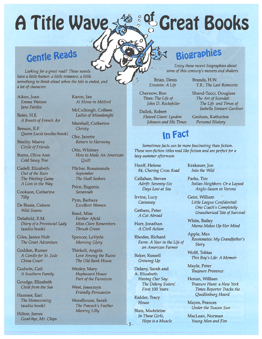# A Title Way

# <sup>og</sup> Great Books

# Gentle Beads

Looking for a great read? These novels have <sup>a</sup> little humor, <sup>a</sup> little romance, <sup>a</sup> little something to think about when the tale is ended, and a lot of character.

Aiken, Joan Emma WatsonJane Fairfax

Bates, H.E. A Breath of French Air

Benson, E.F. Queen Lucia (audio book)

Binchy, Maeve Circle of Friends

Burns, Olive Ann Cold Sassy Tree

Cadell, Elizabeth Out of the Rain The Waiting Game A Lion in the Way

Cookson, Catherine **Tilly** 

De Blasis, Celeste Wild Swans

Delafield, E.M. Diary of <sup>a</sup> Provincial Lady (audio book)

Giles, Janice Holt The Great Adventure

Godden, Rumer A Candle for St. Jude China Court

Godwin, Gail A Southern Family

Goudge, Elizabeth Child from the Sea

Hamner, Earl The Homecoming (audio book)

Hilton, James Good-bye, Mr. Chips Karon, Jan At Home in Mitford

McCullough, Colleen Ladies of Missalonghi

Marshall, Catherine **Christy** 

Oke, Janette Return to Harmony

Otto, Whitney How to Make An American Quilt

Filcher, Rosamunde September The Shell Seekers

Price, Eugenia Savannah

Pym, Barbara Excellent Women

Read, Miss Farther Afield Miss Clare Remembers Thrush Green

Spencer, LaVyrle Morning Glory

Thirkell, Angela Love Among the Ruins The Old Bank House

Wesley, Mary Haphazard House Part of the Furniture

West, Jessamyn Friendly Persuasion

Woodhouse, Sarah The Peacock's Feather Meeting Lilly

# **Biographies**

Enjoy these recent biographies about some of this century's movers and shakers.

Brands, H.W.

YR.: The Last Romantic Shand-Tucci, Douglass The Art of Scandal: The Life and Times of Isabella Stewart Gardner

Graham, Katharine Personal History

Brian, Denis Einstein: A Life

Chernow, Ron Titan: The Life of John D. Rockefeller

Dallek, Robert Flawed Giant: Lyndon Johnson and His Times

# in Fact

F

lazy summer afternoon. Sometimes facts can be more fascinating than fiction. These non-fiction titles read like fiction and are perfect for <sup>a</sup>

Hanff, Helene 84, Charing Cross Road

Callahan, Steven Adrift: Seventy-Six Days Lost at Sea

Irvine, Lucy **Castaway** 

Gethers, Peter A Cat Abroad

Harr, Jonathan A Civil Action

Rhodes, Richard Farm: A Year in the Life of an American Farmer

Baker, Russell Growing Up

Delany, Sarah and A. Elizabeth Having Our Say: The Delany Sisters' First 100 Years

Kidder, Tracy House

Blais, Madeleine In These Girls, Hope is a Muscle Krakauer, Jon Into the Wild

Parks, Tim Italian Neighbors: Or <sup>a</sup> Lapsed Anglo-Saxon in Verona

Geist, William Little League Confidential: One Coach's Completely Unauthorized Tale of Survival

White, Bailey Mama Makes Up Her Mind

Apple, Max Roommates: My Grandfather's Story

Wolff, Tobias This Boy's Life: A Memoir

Mayle, Peter **Toujours Provence** 

Honan, William Treasure Hunt: <sup>a</sup> New York Times Reporter Tracks the Quedlinburg Hoard

Mayes, Frances Under the Tuscan Sun

MacLean, Norman Young Men and Fire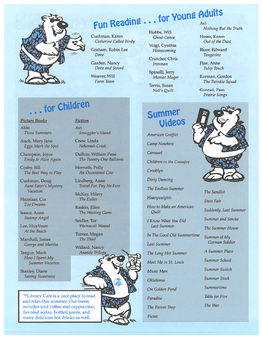

# Fun Reading  $\ldots$  for Young Adults

Cushman, Karen Catherine Called Birdy

Graham, Robin Lee Dove

Garden, Nancy Dove and Sword

Weaver, Will Farm Team Hobbs, Will Ghost Canoe

Voigt, Cynthia Homecoming

Crutcher, Chris Ironman

Spinelli, Jerry Maniac Magee

Terris, Susan Nell's Quilt

# Nothing But the Truth

Hesse, Karen Out of the Dust

Bloor, Edward Tangerine

Fine, Anne Tulip Touch

Korman, Gordon The Twinkie Squad

Conrad, Pam Prairie Songs

# .. for Children

#### Picture Books

AlikiThose Summers

Auch, Mary Jane Eggs Mark the Spot

Champion, Joyce Emily & Alice Again

Cosby, Bill The Best Way to Play

Cushman, Doug Aunt Eater's Mystery Vacation

Hazelaar, Cor Zoo Dreams

Isaacs, Anne Swamp Angel

Lee, HuyVoun At the Beach

Marshall, James George and Martha

Teague, Mark How I Spent My ummer Vacation

Stanley, Diane Saving Sweetness iction

AviSmuggler's Island

Crew, Linda Nekomah Creek

DuBois, William Pene The Twenty One Balloons

Horvath, Polly An Occasional Cow

Lindberg, Anne ravel Far, Pay No Fare

McKay, Hilary The Exiles

Raskin, Ellen The Westing Game

Seidler, Tor Wainscott Weasel

Turner, Megan The Thief

Willard, Nancy Anatole Trilogy,

heLibrary Cafe is a cool place to read nd relax this summer. Our menu ncludes iced coffee and cappuccino, lavored sodas, bottled juices, and many delicious hot drinks as well.

# Summer **Videos**

American Graffiti Camp Nowhere CarouselChildren in the Crossfire Crooklyn Dirty Dancing The Endless Summer Heavyweights

How to Make an American Quilt

I Know What You Did Last Summer

In The Good Old Summertime

Last Summer

The Long Hot Summer

Meet Me in St. Louis

Music Man

Oklahoma

On Golden Pond

Paradise

The Parent Trap

Picnic



Suddenly, Last Summer ummer and Smoke The Summer House  $\omega$ ummer of My German Soldier A Summer Place ummer School Summer SwitchSummer Stock Summertimeable for Five The War The Sandlot 'tate Fair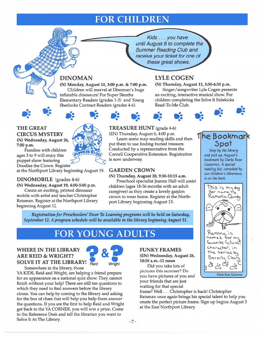# FOR CHILDREN

until August 8 to complete the Kids. . . you have these great shows. Summer Reading Club and e your ticket for one of

## DINOMAN

(N) Monday, August 10, 3:00 p.m. & 7:00 p.m. Children will marvel at Dinoman's huge inflatable dinosaurs! For Super Sleuths Elementary Readers (grades 1-3) and Young Sherlocks Contract Readers (grades 4-6).

## LYLE COGEN

(N) Thursday, August 13, 3:30-4:30 p.m. Singer/songwriter Lyle Cogen presents an exciting, interactive musical show. For children completing the Solve It Sidekicks Read-To-Me Club.



#### THE GREAT CIRCUS MYSTERY :: (N) Wednesday, August 26,

7:00 p.m. Families with children

ages 3 to 9 will enjoy this puppe<sup>t</sup> show featuring Doodles the Clown. Register

at the Northport Library beginning August 19.

#### DINOMOBILE (grades 4-6)

(N) Wednesday, August 19, 4:00-5:00 p.m. Create an exciting, printed dinosaur mobile with artist and teacher Christopher Reisman. Register at the Northport Library beginning August 12.



## TREASURE HUNT (grade 4-6)

(EN) Thursday, August 6, 4:00 p.m. Learn some map reading skills and then pu<sup>t</sup> them to use finding buried treasure. Conducted by <sup>a</sup> representative from the Cornell Cooperative Extension. Registration is now underway.

Ď.

#### GARDEN CROWN

(N) Thursday, August 20, 9:30-10:15 a.m. Preschool specialist Jeanne Hall will assist

children (ages 18-36 months with an adult caregiver) as they create <sup>a</sup> lovely garden crown to wear home. Register at the Northpor<sup>t</sup> Library beginning August 13.

Registration for Preschoolers' Door To Learning programs will be held on Saturday, September 12. A program schedule will be available in the library beginning August 31.

# $\text{FOR} \text{ YOUNG}$   $\text{ADULTS}$  . The  $\text{Ramong}$

#### WHERE IN THE LIBRARY ARE REID & WRIGHT? SOLVE IT AT THE LIBRARY!  $_{\text{Reid}}$



Somewhere in the library, those YA KIDS, Reid and Wright, are helping <sup>a</sup> friend prepare for an appearance on <sup>a</sup> national quiz show. They cannot finish without your help! There are still ten questions to which they need to find answers before the library closes. You can help by coming to the library and asking for the box of clues that will help you help them answer the questions. If you are the first to help Reid and Wright ge<sup>t</sup> back to the YA CORNER, you will win <sup>a</sup> prize. Come to the Reference Desk and tell the librarian you want to Solve It At The Library.

#### FUNKY FRAMES

(EN) Wednesday, August 26, 10:30 a.m.-12 noon

Did you take lots of <sup>p</sup>ictures this summer? Do <sup>2</sup> you have pictures of you and Darla Rose Gutierrez your friends that are just waiting for that special

frame? Well. . . Christopher is back! Christopher Reisman once again brings his special talent to help you create the perfect picture frame. Sign up begins August 3 at the East Northport Library.



The Bookmark

5pot Stop by the library and pick up August's bookmark by Darla Rose